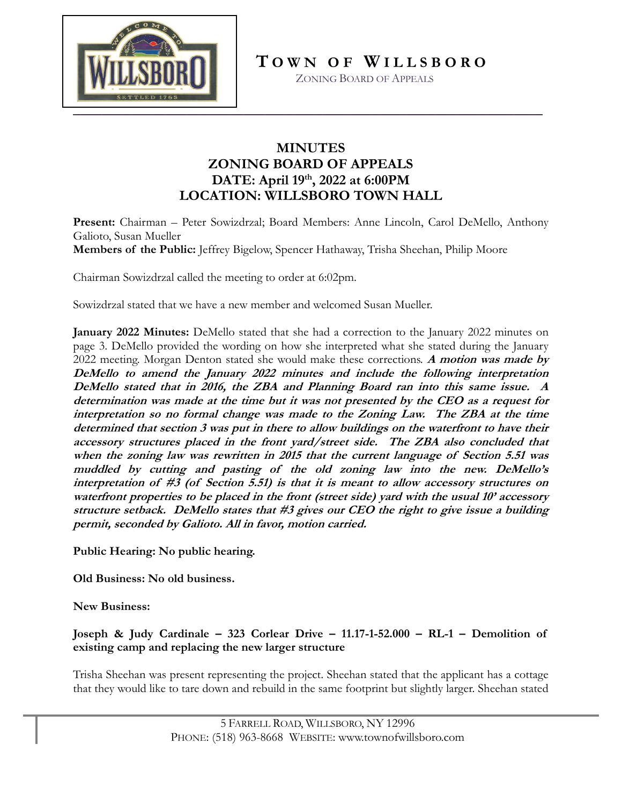

**T O W N O F W I L L S B O R O**

ZONING BOARD OF APPEALS

# **MINUTES ZONING BOARD OF APPEALS DATE: April 19th, 2022 at 6:00PM LOCATION: WILLSBORO TOWN HALL**

**Present:** Chairman – Peter Sowizdrzal; Board Members: Anne Lincoln, Carol DeMello, Anthony Galioto, Susan Mueller **Members of the Public:** Jeffrey Bigelow, Spencer Hathaway, Trisha Sheehan, Philip Moore

Chairman Sowizdrzal called the meeting to order at 6:02pm.

Sowizdrzal stated that we have a new member and welcomed Susan Mueller.

**January 2022 Minutes:** DeMello stated that she had a correction to the January 2022 minutes on page 3. DeMello provided the wording on how she interpreted what she stated during the January 2022 meeting. Morgan Denton stated she would make these corrections. **A motion was made by DeMello to amend the January 2022 minutes and include the following interpretation DeMello stated that in 2016, the ZBA and Planning Board ran into this same issue. A determination was made at the time but it was not presented by the CEO as a request for interpretation so no formal change was made to the Zoning Law. The ZBA at the time determined that section 3 was put in there to allow buildings on the waterfront to have their accessory structures placed in the front yard/street side. The ZBA also concluded that when the zoning law was rewritten in 2015 that the current language of Section 5.51 was muddled by cutting and pasting of the old zoning law into the new. DeMello's interpretation of #3 (of Section 5.51) is that it is meant to allow accessory structures on waterfront properties to be placed in the front (street side) yard with the usual 10' accessory structure setback. DeMello states that #3 gives our CEO the right to give issue a building permit, seconded by Galioto. All in favor, motion carried.** 

**Public Hearing: No public hearing.**

**Old Business: No old business.** 

**New Business:** 

**Joseph & Judy Cardinale – 323 Corlear Drive – 11.17-1-52.000 – RL-1 – Demolition of existing camp and replacing the new larger structure**

Trisha Sheehan was present representing the project. Sheehan stated that the applicant has a cottage that they would like to tare down and rebuild in the same footprint but slightly larger. Sheehan stated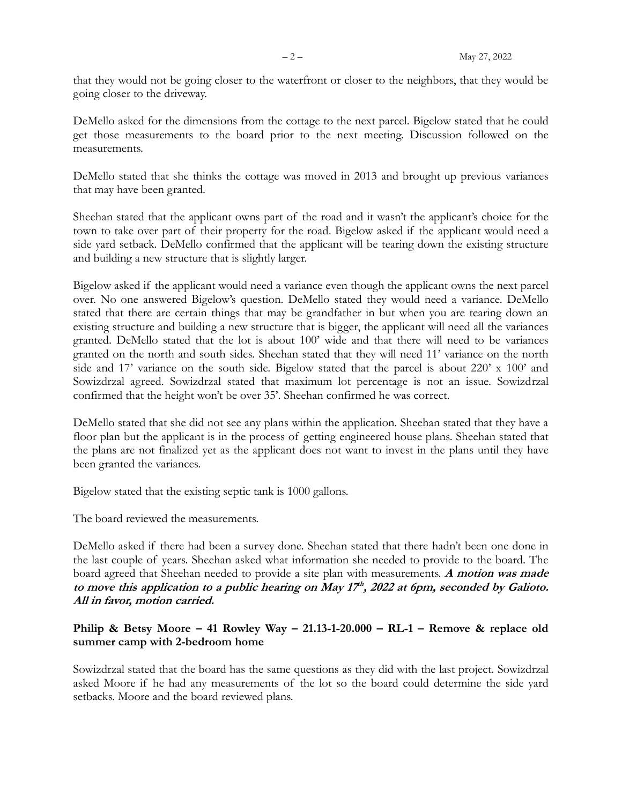that they would not be going closer to the waterfront or closer to the neighbors, that they would be going closer to the driveway.

DeMello asked for the dimensions from the cottage to the next parcel. Bigelow stated that he could get those measurements to the board prior to the next meeting. Discussion followed on the measurements.

DeMello stated that she thinks the cottage was moved in 2013 and brought up previous variances that may have been granted.

Sheehan stated that the applicant owns part of the road and it wasn't the applicant's choice for the town to take over part of their property for the road. Bigelow asked if the applicant would need a side yard setback. DeMello confirmed that the applicant will be tearing down the existing structure and building a new structure that is slightly larger.

Bigelow asked if the applicant would need a variance even though the applicant owns the next parcel over. No one answered Bigelow's question. DeMello stated they would need a variance. DeMello stated that there are certain things that may be grandfather in but when you are tearing down an existing structure and building a new structure that is bigger, the applicant will need all the variances granted. DeMello stated that the lot is about 100' wide and that there will need to be variances granted on the north and south sides. Sheehan stated that they will need 11' variance on the north side and 17' variance on the south side. Bigelow stated that the parcel is about 220' x 100' and Sowizdrzal agreed. Sowizdrzal stated that maximum lot percentage is not an issue. Sowizdrzal confirmed that the height won't be over 35'. Sheehan confirmed he was correct.

DeMello stated that she did not see any plans within the application. Sheehan stated that they have a floor plan but the applicant is in the process of getting engineered house plans. Sheehan stated that the plans are not finalized yet as the applicant does not want to invest in the plans until they have been granted the variances.

Bigelow stated that the existing septic tank is 1000 gallons.

The board reviewed the measurements.

DeMello asked if there had been a survey done. Sheehan stated that there hadn't been one done in the last couple of years. Sheehan asked what information she needed to provide to the board. The board agreed that Sheehan needed to provide a site plan with measurements. **<sup>A</sup> motion was made**  to move this application to a public hearing on May 17<sup>th</sup>, 2022 at 6pm, seconded by Galioto. **All in favor, motion carried.** 

# **Philip & Betsy Moore – 41 Rowley Way – 21.13-1-20.000 – RL-1 – Remove & replace old summer camp with 2-bedroom home**

Sowizdrzal stated that the board has the same questions as they did with the last project. Sowizdrzal asked Moore if he had any measurements of the lot so the board could determine the side yard setbacks. Moore and the board reviewed plans.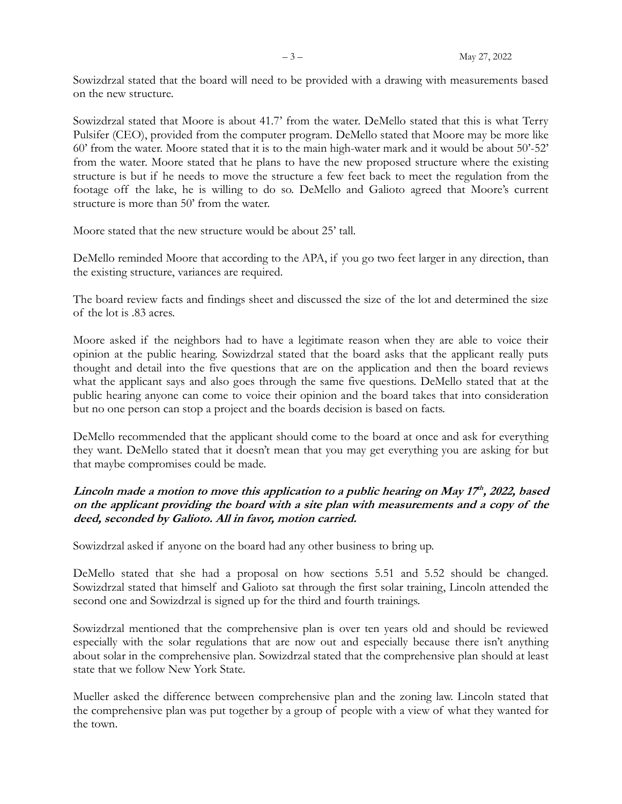Sowizdrzal stated that the board will need to be provided with a drawing with measurements based on the new structure.

Sowizdrzal stated that Moore is about 41.7' from the water. DeMello stated that this is what Terry Pulsifer (CEO), provided from the computer program. DeMello stated that Moore may be more like 60' from the water. Moore stated that it is to the main high-water mark and it would be about 50'-52' from the water. Moore stated that he plans to have the new proposed structure where the existing structure is but if he needs to move the structure a few feet back to meet the regulation from the footage off the lake, he is willing to do so. DeMello and Galioto agreed that Moore's current structure is more than 50' from the water.

Moore stated that the new structure would be about 25' tall.

DeMello reminded Moore that according to the APA, if you go two feet larger in any direction, than the existing structure, variances are required.

The board review facts and findings sheet and discussed the size of the lot and determined the size of the lot is .83 acres.

Moore asked if the neighbors had to have a legitimate reason when they are able to voice their opinion at the public hearing. Sowizdrzal stated that the board asks that the applicant really puts thought and detail into the five questions that are on the application and then the board reviews what the applicant says and also goes through the same five questions. DeMello stated that at the public hearing anyone can come to voice their opinion and the board takes that into consideration but no one person can stop a project and the boards decision is based on facts.

DeMello recommended that the applicant should come to the board at once and ask for everything they want. DeMello stated that it doesn't mean that you may get everything you are asking for but that maybe compromises could be made.

# Lincoln made a motion to move this application to a public hearing on May 17<sup>th</sup>, 2022, based **on the applicant providing the board with a site plan with measurements and a copy of the deed, seconded by Galioto. All in favor, motion carried.**

Sowizdrzal asked if anyone on the board had any other business to bring up.

DeMello stated that she had a proposal on how sections 5.51 and 5.52 should be changed. Sowizdrzal stated that himself and Galioto sat through the first solar training, Lincoln attended the second one and Sowizdrzal is signed up for the third and fourth trainings.

Sowizdrzal mentioned that the comprehensive plan is over ten years old and should be reviewed especially with the solar regulations that are now out and especially because there isn't anything about solar in the comprehensive plan. Sowizdrzal stated that the comprehensive plan should at least state that we follow New York State.

Mueller asked the difference between comprehensive plan and the zoning law. Lincoln stated that the comprehensive plan was put together by a group of people with a view of what they wanted for the town.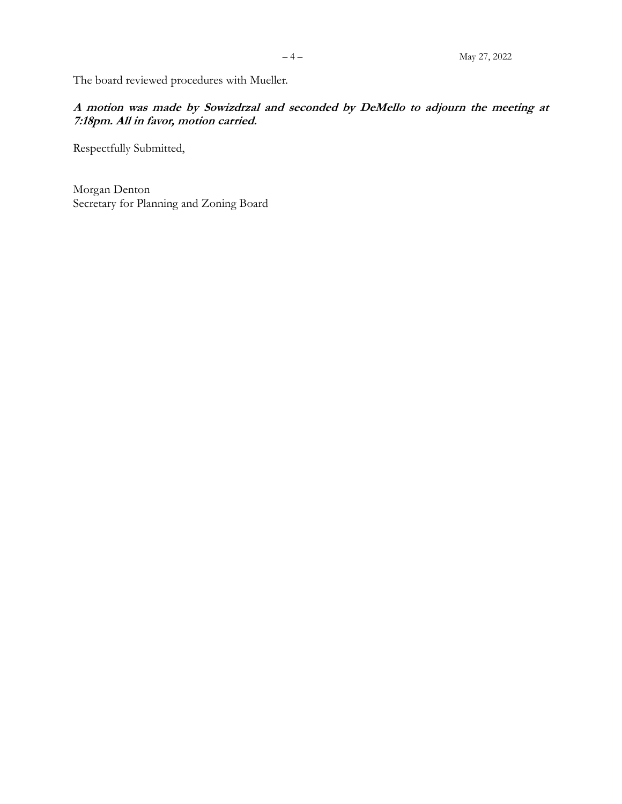The board reviewed procedures with Mueller.

**A motion was made by Sowizdrzal and seconded by DeMello to adjourn the meeting at 7:18pm. All in favor, motion carried.** 

Respectfully Submitted,

Morgan Denton Secretary for Planning and Zoning Board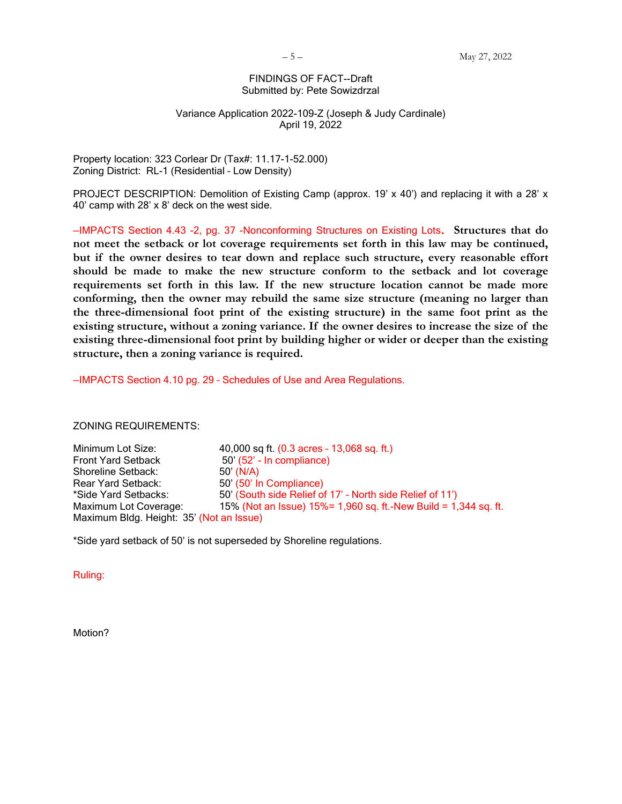# FINDINGS OF FACT--Draft Submitted by: Pete Sowizdrzal

# Variance Application 2022-109-Z (Joseph & Judy Cardinale) April 19, 2022

Property location: 323 Corlear Dr (Tax#: 11.17-1-52.000) Zoning District: RL-1 (Residential – Low Density)

PROJECT DESCRIPTION: Demolition of Existing Camp (approx. 19' x 40') and replacing it with a 28' x 40' camp with 28' x 8' deck on the west side.

—IMPACTS Section 4.43 -2, pg. 37 -Nonconforming Structures on Existing Lots. **Structures that do not meet the setback or lot coverage requirements set forth in this law may be continued, but if the owner desires to tear down and replace such structure, every reasonable effort should be made to make the new structure conform to the setback and lot coverage requirements set forth in this law. If the new structure location cannot be made more conforming, then the owner may rebuild the same size structure (meaning no larger than the three-dimensional foot print of the existing structure) in the same foot print as the existing structure, without a zoning variance. If the owner desires to increase the size of the existing three-dimensional foot print by building higher or wider or deeper than the existing structure, then a zoning variance is required.**

—IMPACTS Section 4.10 pg. 29 – Schedules of Use and Area Regulations.

ZONING REQUIREMENTS:

Minimum Lot Size: 40,000 sq ft. (0.3 acres – 13,068 sq. ft.) Front Yard Setback 50' (52' - In compliance) Shoreline Setback: 50' (N/A) Rear Yard Setback: 50' (50' In Compliance) \*Side Yard Setbacks: 50' (South side Relief of 17' – North side Relief of 11') Maximum Lot Coverage: 15% (Not an Issue) 15%= 1,960 sq. ft.-New Build = 1,344 sq. ft. Maximum Bldg. Height: 35' (Not an Issue)

\*Side yard setback of 50' is not superseded by Shoreline regulations.

Ruling:

Motion?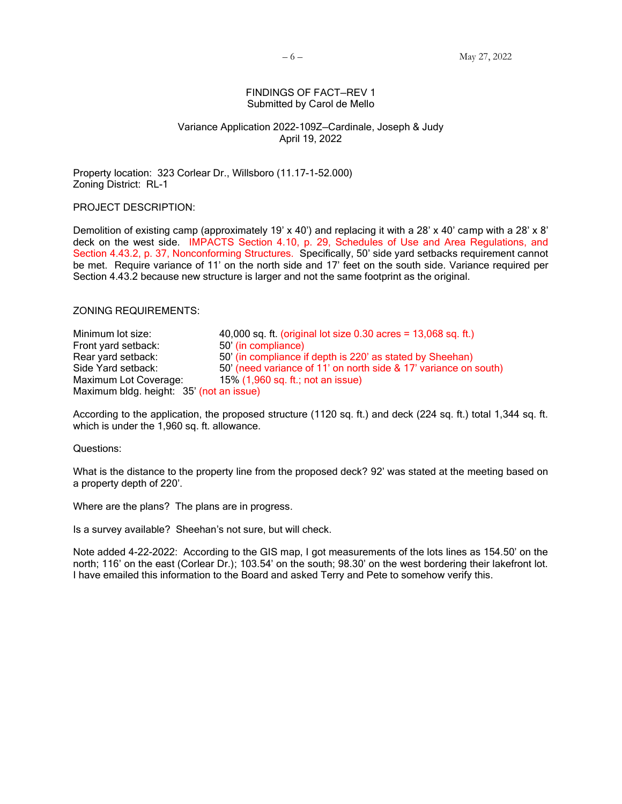#### FINDINGS OF FACT—REV 1 Submitted by Carol de Mello

### Variance Application 2022-109Z—Cardinale, Joseph & Judy April 19, 2022

Property location: 323 Corlear Dr., Willsboro (11.17-1-52.000) Zoning District: RL-1

PROJECT DESCRIPTION:

Demolition of existing camp (approximately 19' x 40') and replacing it with a 28' x 40' camp with a 28' x 8' deck on the west side. IMPACTS Section 4.10, p. 29, Schedules of Use and Area Regulations, and Section 4.43.2, p. 37, Nonconforming Structures. Specifically, 50' side yard setbacks requirement cannot be met. Require variance of 11' on the north side and 17' feet on the south side. Variance required per Section 4.43.2 because new structure is larger and not the same footprint as the original.

ZONING REQUIREMENTS:

Minimum lot size: 40,000 sq. ft. (original lot size 0.30 acres = 13,068 sq. ft.) Front yard setback: 50' (in compliance) Rear yard setback: 50' (in compliance if depth is 220' as stated by Sheehan) Side Yard setback: 50' (need variance of 11' on north side & 17' variance on south) Maximum Lot Coverage: 15% (1,960 sq. ft.; not an issue) Maximum bldg. height: 35' (not an issue)

According to the application, the proposed structure (1120 sq. ft.) and deck (224 sq. ft.) total 1,344 sq. ft. which is under the 1,960 sq. ft. allowance.

Questions:

What is the distance to the property line from the proposed deck? 92' was stated at the meeting based on a property depth of 220'.

Where are the plans? The plans are in progress.

Is a survey available? Sheehan's not sure, but will check.

Note added 4-22-2022: According to the GIS map, I got measurements of the lots lines as 154.50' on the north; 116' on the east (Corlear Dr.); 103.54' on the south; 98.30' on the west bordering their lakefront lot. I have emailed this information to the Board and asked Terry and Pete to somehow verify this.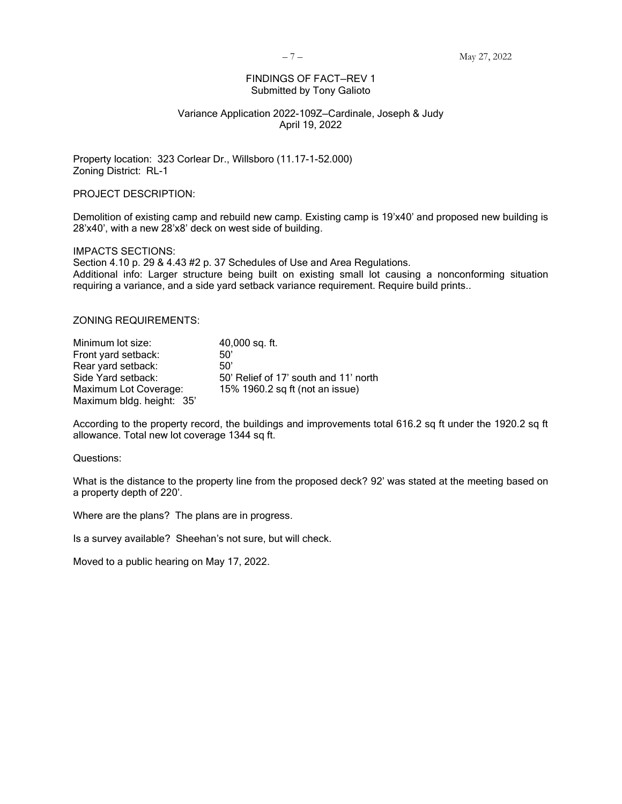#### FINDINGS OF FACT—REV 1 Submitted by Tony Galioto

# Variance Application 2022-109Z—Cardinale, Joseph & Judy April 19, 2022

Property location: 323 Corlear Dr., Willsboro (11.17-1-52.000) Zoning District: RL-1

#### PROJECT DESCRIPTION:

Demolition of existing camp and rebuild new camp. Existing camp is 19'x40' and proposed new building is 28'x40', with a new 28'x8' deck on west side of building.

IMPACTS SECTIONS: Section 4.10 p. 29 & 4.43 #2 p. 37 Schedules of Use and Area Regulations. Additional info: Larger structure being built on existing small lot causing a nonconforming situation requiring a variance, and a side yard setback variance requirement. Require build prints..

# ZONING REQUIREMENTS:

| Minimum lot size:         | $40,000$ sq. ft.                      |
|---------------------------|---------------------------------------|
| Front yard setback:       | 50'                                   |
| Rear yard setback:        | 50'                                   |
| Side Yard setback:        | 50' Relief of 17' south and 11' north |
| Maximum Lot Coverage:     | 15% 1960.2 sq ft (not an issue)       |
| Maximum bldg. height: 35' |                                       |

According to the property record, the buildings and improvements total 616.2 sq ft under the 1920.2 sq ft allowance. Total new lot coverage 1344 sq ft.

Questions:

What is the distance to the property line from the proposed deck? 92' was stated at the meeting based on a property depth of 220'.

Where are the plans? The plans are in progress.

Is a survey available? Sheehan's not sure, but will check.

Moved to a public hearing on May 17, 2022.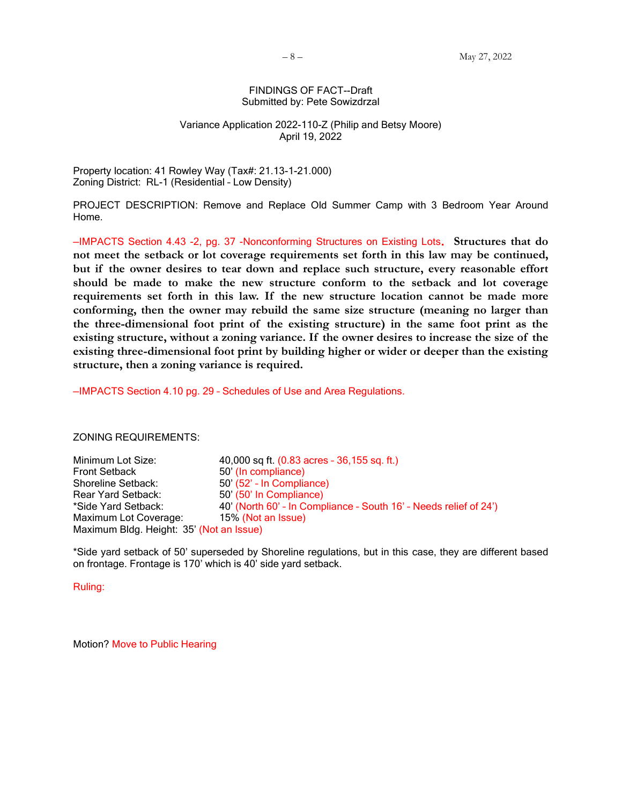# FINDINGS OF FACT--Draft Submitted by: Pete Sowizdrzal

# Variance Application 2022-110-Z (Philip and Betsy Moore) April 19, 2022

Property location: 41 Rowley Way (Tax#: 21.13-1-21.000) Zoning District: RL-1 (Residential – Low Density)

PROJECT DESCRIPTION: Remove and Replace Old Summer Camp with 3 Bedroom Year Around Home.

—IMPACTS Section 4.43 -2, pg. 37 -Nonconforming Structures on Existing Lots. **Structures that do not meet the setback or lot coverage requirements set forth in this law may be continued, but if the owner desires to tear down and replace such structure, every reasonable effort should be made to make the new structure conform to the setback and lot coverage requirements set forth in this law. If the new structure location cannot be made more conforming, then the owner may rebuild the same size structure (meaning no larger than the three-dimensional foot print of the existing structure) in the same foot print as the existing structure, without a zoning variance. If the owner desires to increase the size of the existing three-dimensional foot print by building higher or wider or deeper than the existing structure, then a zoning variance is required.**

—IMPACTS Section 4.10 pg. 29 – Schedules of Use and Area Regulations.

ZONING REQUIREMENTS:

Minimum Lot Size: 40,000 sq ft. (0.83 acres – 36,155 sq. ft.) Front Setback 50' (In compliance) Shoreline Setback: 50' (52' - In Compliance) Rear Yard Setback: 50' (50' In Compliance) \*Side Yard Setback: 40' (North 60' – In Compliance – South 16' – Needs relief of 24') Maximum Lot Coverage: 15% (Not an Issue) Maximum Bldg. Height: 35' (Not an Issue)

\*Side yard setback of 50' superseded by Shoreline regulations, but in this case, they are different based on frontage. Frontage is 170' which is 40' side yard setback.

Ruling:

Motion? Move to Public Hearing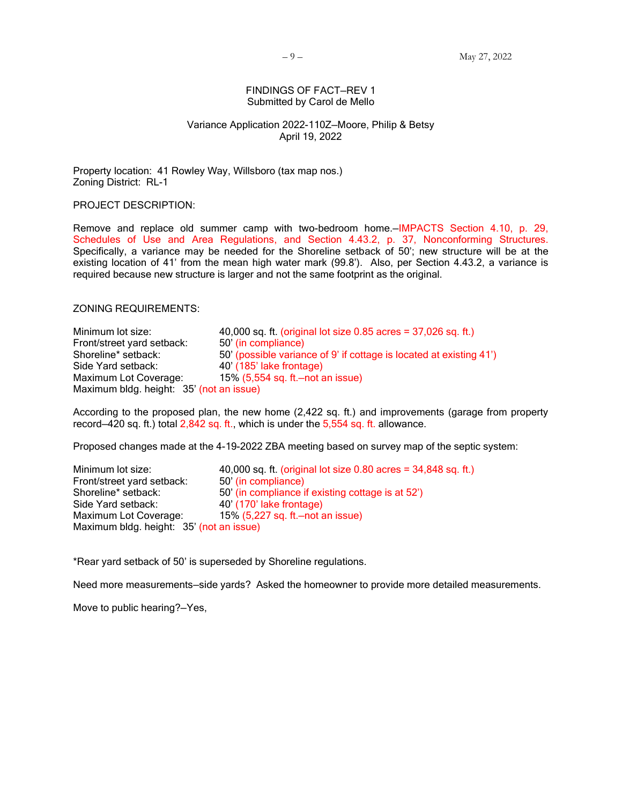# FINDINGS OF FACT—REV 1 Submitted by Carol de Mello

# Variance Application 2022-110Z—Moore, Philip & Betsy April 19, 2022

Property location: 41 Rowley Way, Willsboro (tax map nos.) Zoning District: RL-1

PROJECT DESCRIPTION:

Remove and replace old summer camp with two-bedroom home.—IMPACTS Section 4.10, p. 29, Schedules of Use and Area Regulations, and Section 4.43.2, p. 37, Nonconforming Structures. Specifically, a variance may be needed for the Shoreline setback of 50'; new structure will be at the existing location of 41' from the mean high water mark (99.8'). Also, per Section 4.43.2, a variance is required because new structure is larger and not the same footprint as the original.

ZONING REQUIREMENTS:

Minimum lot size: 40,000 sq. ft. (original lot size 0.85 acres = 37,026 sq. ft.) Front/street yard setback: 50' (in compliance) Shoreline\* setback: 50' (possible variance of 9' if cottage is located at existing 41') Side Yard setback: 40' (185' lake frontage)<br>
Maximum Lot Coverage: 15% (5,554 sq. ft.-not a  $15\%$  (5,554 sq. ft.—not an issue) Maximum bldg. height: 35' (not an issue)

According to the proposed plan, the new home (2,422 sq. ft.) and improvements (garage from property record—420 sq. ft.) total 2,842 sq. ft., which is under the 5,554 sq. ft. allowance.

Proposed changes made at the 4-19-2022 ZBA meeting based on survey map of the septic system:

Minimum lot size: 40,000 sq. ft. (original lot size 0.80 acres = 34,848 sq. ft.) Front/street yard setback: 50' (in compliance) Shoreline\* setback: 50' (in compliance if existing cottage is at 52') Side Yard setback: 40' (170' lake frontage) Maximum Lot Coverage: 15% (5,227 sq. ft.-not an issue) Maximum bldg. height: 35' (not an issue)

\*Rear yard setback of 50' is superseded by Shoreline regulations.

Need more measurements—side yards? Asked the homeowner to provide more detailed measurements.

Move to public hearing?—Yes,